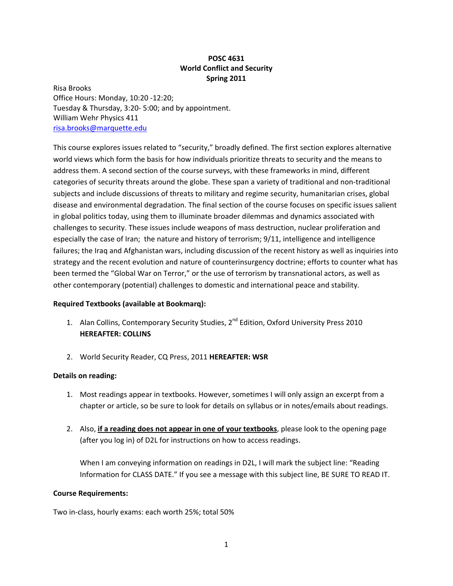## **POSC 4631 World Conflict and Security Spring 2011**

Risa Brooks Office Hours: Monday, 10:20 ‐12:20; Tuesday & Thursday, 3:20‐ 5:00; and by appointment. William Wehr Physics 411 risa.brooks@marquette.edu

This course explores issues related to "security," broadly defined. The first section explores alternative world views which form the basis for how individuals prioritize threats to security and the means to address them. A second section of the course surveys, with these frameworks in mind, different categories of security threats around the globe. These span a variety of traditional and non‐traditional subjects and include discussions of threats to military and regime security, humanitarian crises, global disease and environmental degradation. The final section of the course focuses on specific issues salient in global politics today, using them to illuminate broader dilemmas and dynamics associated with challenges to security. These issues include weapons of mass destruction, nuclear proliferation and especially the case of Iran; the nature and history of terrorism; 9/11, intelligence and intelligence failures; the Iraq and Afghanistan wars, including discussion of the recent history as well as inquiries into strategy and the recent evolution and nature of counterinsurgency doctrine; efforts to counter what has been termed the "Global War on Terror," or the use of terrorism by transnational actors, as well as other contemporary (potential) challenges to domestic and international peace and stability.

### **Required Textbooks (available at Bookmarq):**

- 1. Alan Collins, Contemporary Security Studies, 2<sup>nd</sup> Edition, Oxford University Press 2010 **HEREAFTER: COLLINS**
- 2. World Security Reader, CQ Press, 2011 **HEREAFTER: WSR**

# **Details on reading:**

- 1. Most readings appear in textbooks. However, sometimes I will only assign an excerpt from a chapter or article, so be sure to look for details on syllabus or in notes/emails about readings.
- 2. Also, **if a reading does not appear in one of your textbooks**, please look to the opening page (after you log in) of D2L for instructions on how to access readings.

When I am conveying information on readings in D2L, I will mark the subject line: "Reading Information for CLASS DATE." If you see a message with this subject line, BE SURE TO READ IT.

### **Course Requirements:**

Two in‐class, hourly exams: each worth 25%; total 50%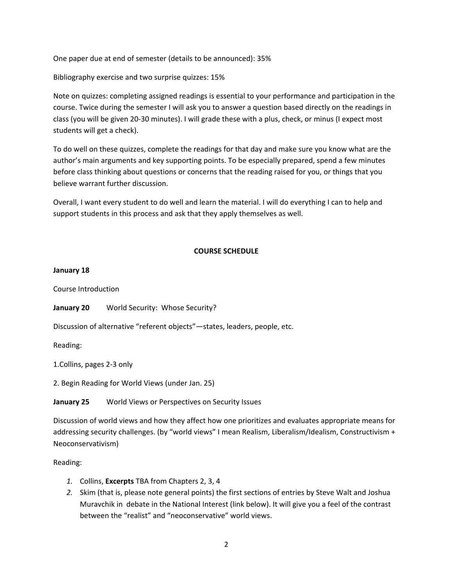One paper due at end of semester (details to be announced): 35%

Bibliography exercise and two surprise quizzes: 15%

Note on quizzes: completing assigned readings is essential to your performance and participation in the course. Twice during the semester I will ask you to answer a question based directly on the readings in class (you will be given 20‐30 minutes). I will grade these with a plus, check, or minus (I expect most students will get a check).

To do well on these quizzes, complete the readings for that day and make sure you know what are the author's main arguments and key supporting points. To be especially prepared, spend a few minutes before class thinking about questions or concerns that the reading raised for you, or things that you believe warrant further discussion.

Overall, I want every student to do well and learn the material. I will do everything I can to help and support students in this process and ask that they apply themselves as well.

## **COURSE SCHEDULE**

### **January 18**

Course Introduction

**January 20** World Security: Whose Security?

Discussion of alternative "referent objects"—states, leaders, people, etc.

Reading:

1.Collins, pages 2‐3 only

2. Begin Reading for World Views (under Jan. 25)

**January 25** World Views or Perspectives on Security Issues

Discussion of world views and how they affect how one prioritizes and evaluates appropriate means for addressing security challenges. (by "world views" I mean Realism, Liberalism/Idealism, Constructivism + Neoconservativism)

Reading:

- *1.* Collins, **Excerpts** TBA from Chapters 2, 3, 4
- *2.* Skim (that is, please note general points) the first sections of entries by Steve Walt and Joshua Muravchik in debate in the National Interest (link below). It will give you a feel of the contrast between the "realist" and "neoconservative" world views.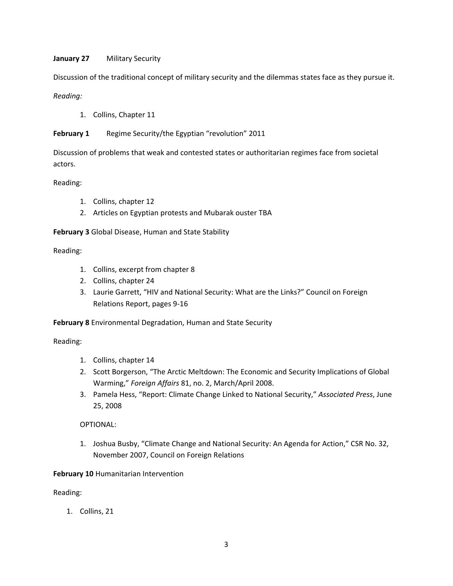## **January 27** Military Security

Discussion of the traditional concept of military security and the dilemmas states face as they pursue it.

## *Reading:*

1. Collins, Chapter 11

**February 1** Regime Security/the Egyptian "revolution" 2011

Discussion of problems that weak and contested states or authoritarian regimes face from societal actors.

### Reading:

- 1. Collins, chapter 12
- 2. Articles on Egyptian protests and Mubarak ouster TBA

## **February 3** Global Disease, Human and State Stability

### Reading:

- 1. Collins, excerpt from chapter 8
- 2. Collins, chapter 24
- 3. Laurie Garrett, "HIV and National Security: What are the Links?" Council on Foreign Relations Report, pages 9‐16

**February 8** Environmental Degradation, Human and State Security

### Reading:

- 1. Collins, chapter 14
- 2. Scott Borgerson, "The Arctic Meltdown: The Economic and Security Implications of Global Warming," *Foreign Affairs* 81, no. 2, March/April 2008.
- 3. Pamela Hess, "Report: Climate Change Linked to National Security," *Associated Press*, June 25, 2008

# OPTIONAL:

1. Joshua Busby, "Climate Change and National Security: An Agenda for Action," CSR No. 32, November 2007, Council on Foreign Relations

# **February 10** Humanitarian Intervention

Reading:

1. Collins, 21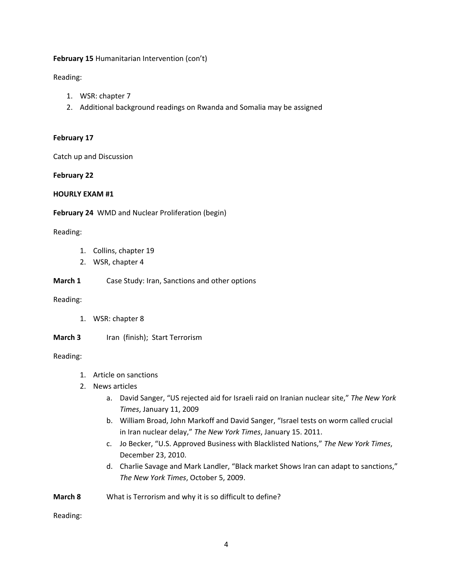### **February 15** Humanitarian Intervention (con't)

Reading:

- 1. WSR: chapter 7
- 2. Additional background readings on Rwanda and Somalia may be assigned

### **February 17**

Catch up and Discussion

## **February 22**

### **HOURLY EXAM #1**

**February 24** WMD and Nuclear Proliferation (begin)

## Reading:

- 1. Collins, chapter 19
- 2. WSR, chapter 4
- **March 1** Case Study: Iran, Sanctions and other options

### Reading:

- 1. WSR: chapter 8
- **March 3** Iran (finish); Start Terrorism

### Reading:

- 1. Article on sanctions
- 2. News articles
	- a. David Sanger, "US rejected aid for Israeli raid on Iranian nuclear site," *The New York Times*, January 11, 2009
	- b. William Broad, John Markoff and David Sanger, "Israel tests on worm called crucial in Iran nuclear delay," *The New York Times*, January 15. 2011.
	- c. Jo Becker, "U.S. Approved Business with Blacklisted Nations," *The New York Times*, December 23, 2010.
	- d. Charlie Savage and Mark Landler, "Black market Shows Iran can adapt to sanctions," *The New York Times*, October 5, 2009.

**March 8** What is Terrorism and why it is so difficult to define?

Reading: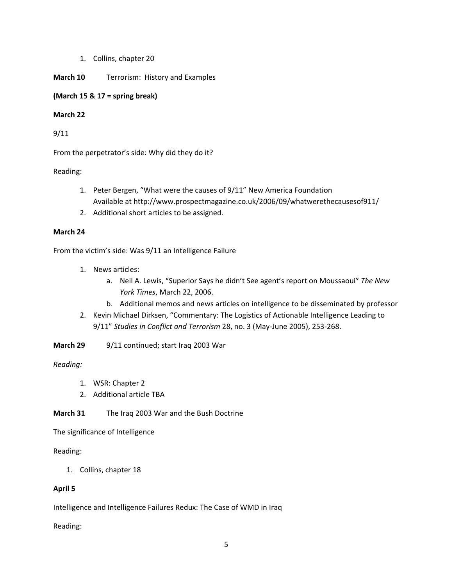1. Collins, chapter 20

## **March 10** Terrorism: History and Examples

## **(March 15 & 17 = spring break)**

## **March 22**

9/11

From the perpetrator's side: Why did they do it?

Reading:

- 1. Peter Bergen, "What were the causes of 9/11" New America Foundation Available at http://www.prospectmagazine.co.uk/2006/09/whatwerethecausesof911/
- 2. Additional short articles to be assigned.

## **March 24**

From the victim's side: Was 9/11 an Intelligence Failure

- 1. News articles:
	- a. Neil A. Lewis, "Superior Says he didn't See agent's report on Moussaoui" *The New York Times*, March 22, 2006.
	- b. Additional memos and news articles on intelligence to be disseminated by professor
- 2. Kevin Michael Dirksen, "Commentary: The Logistics of Actionable Intelligence Leading to 9/11" *Studies in Conflict and Terrorism* 28, no. 3 (May‐June 2005), 253‐268.
- **March 29** 9/11 continued; start Iraq 2003 War

*Reading:*

- 1. WSR: Chapter 2
- 2. Additional article TBA

**March 31** The Iraq 2003 War and the Bush Doctrine

The significance of Intelligence

### Reading:

1. Collins, chapter 18

# **April 5**

Intelligence and Intelligence Failures Redux: The Case of WMD in Iraq

Reading: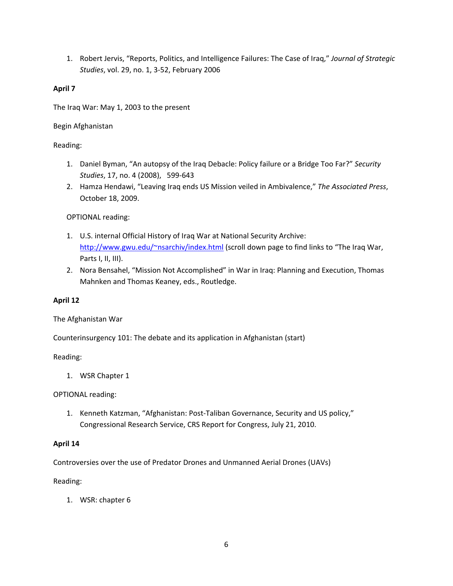1. Robert Jervis, "Reports, Politics, and Intelligence Failures: The Case of Iraq," *Journal of Strategic Studies*, vol. 29, no. 1, 3‐52, February 2006

## **April 7**

The Iraq War: May 1, 2003 to the present

## Begin Afghanistan

# Reading:

- 1. Daniel Byman, "An autopsy of the Iraq Debacle: Policy failure or a Bridge Too Far?" *Security Studies*, 17, no. 4 (2008), 599‐643
- 2. Hamza Hendawi, "Leaving Iraq ends US Mission veiled in Ambivalence," *The Associated Press*, October 18, 2009.

# OPTIONAL reading:

- 1. U.S. internal Official History of Iraq War at National Security Archive: http://www.gwu.edu/~nsarchiv/index.html (scroll down page to find links to "The Iraq War, Parts I, II, III).
- 2. Nora Bensahel, "Mission Not Accomplished" in War in Iraq: Planning and Execution, Thomas Mahnken and Thomas Keaney, eds., Routledge.

# **April 12**

The Afghanistan War

Counterinsurgency 101: The debate and its application in Afghanistan (start)

### Reading:

1. WSR Chapter 1

OPTIONAL reading:

1. Kenneth Katzman, "Afghanistan: Post‐Taliban Governance, Security and US policy," Congressional Research Service, CRS Report for Congress, July 21, 2010.

### **April 14**

Controversies over the use of Predator Drones and Unmanned Aerial Drones (UAVs)

### Reading:

1. WSR: chapter 6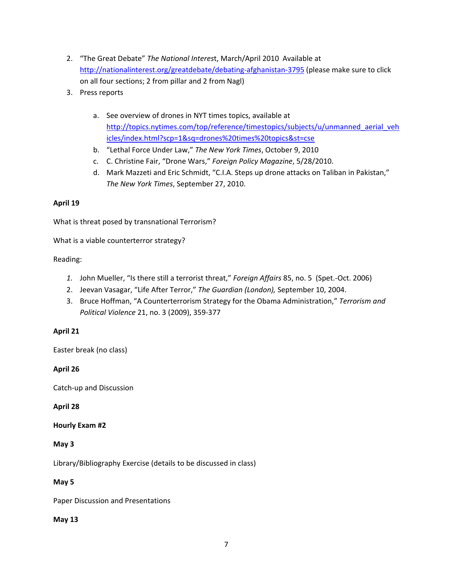- 2. "The Great Debate" *The National Interes*t, March/April 2010 Available at http://nationalinterest.org/greatdebate/debating‐afghanistan‐3795 (please make sure to click on all four sections; 2 from pillar and 2 from Nagl)
- 3. Press reports
	- a. See overview of drones in NYT times topics, available at http://topics.nytimes.com/top/reference/timestopics/subjects/u/unmanned\_aerial\_veh icles/index.html?scp=1&sq=drones%20times%20topics&st=cse
	- b. "Lethal Force Under Law," *The New York Times*, October 9, 2010
	- c. C. Christine Fair, "Drone Wars," *Foreign Policy Magazine*, 5/28/2010.
	- d. Mark Mazzeti and Eric Schmidt, "C.I.A. Steps up drone attacks on Taliban in Pakistan," *The New York Times*, September 27, 2010.

#### **April 19**

What is threat posed by transnational Terrorism?

What is a viable counterterror strategy?

Reading:

- *1.* John Mueller, "Is there still a terrorist threat," *Foreign Affairs* 85, no. 5 (Spet.‐Oct. 2006)
- 2. Jeevan Vasagar, "Life After Terror," *The Guardian (London),* September 10, 2004.
- 3. Bruce Hoffman, "A Counterterrorism Strategy for the Obama Administration," *Terrorism and Political Violence* 21, no. 3 (2009), 359‐377

### **April 21**

Easter break (no class)

### **April 26**

Catch‐up and Discussion

### **April 28**

### **Hourly Exam #2**

### **May 3**

Library/Bibliography Exercise (details to be discussed in class)

### **May 5**

Paper Discussion and Presentations

### **May 13**